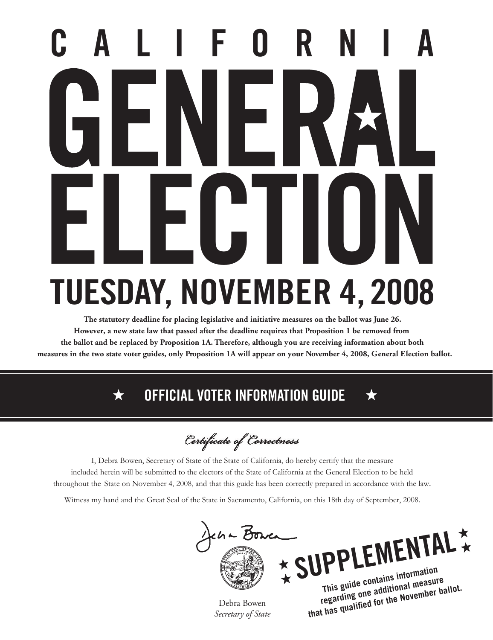# **CALIFORNIA ELECTION TUESDAY, NOVEMBER 4, 2008**

**The statutory deadline for placing legislative and initiative measures on the ballot was June 26. However, a new state law that passed after the deadline requires that Proposition 1 be removed from the ballot and be replaced by Proposition 1A. Therefore, although you are receiving information about both measures in the two state voter guides, only Proposition 1A will appear on your November 4, 2008, General Election ballot.**

### **OFFICIAL VOTER INFORMATION GUIDE**

Certificate of Correctness

I, Debra Bowen, Secretary of State of the State of California, do hereby certify that the measure throughout the State on November 4, 2008, and that this guide has been correctly prepared in accordance with the law*.* included herein will be submitted to the electors of the State of California at the General Election to be held

Witness my hand and the Great Seal of the State in Sacramento, California, on this 18th day of September, 2008.



Debra Bowen *Secretary of State*

**regarding one additional measure**  that has qualified for the November ballot.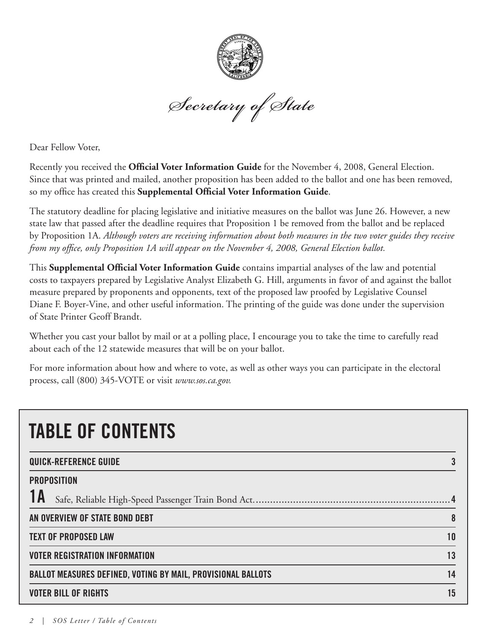

Secretary of State

Dear Fellow Voter,

Recently you received the **Official Voter Information Guide** for the November 4, 2008, General Election. Since that was printed and mailed, another proposition has been added to the ballot and one has been removed, so my office has created this **Supplemental Official Voter Information Guide**.

The statutory deadline for placing legislative and initiative measures on the ballot was June 26. However, a new state law that passed after the deadline requires that Proposition 1 be removed from the ballot and be replaced by Proposition 1A. *Although voters are receiving information about both measures in the two voter guides they receive from my office, only Proposition 1A will appear on the November 4, 2008, General Election ballot.* 

This **Supplemental Official Voter Information Guide** contains impartial analyses of the law and potential costs to taxpayers prepared by Legislative Analyst Elizabeth G. Hill, arguments in favor of and against the ballot measure prepared by proponents and opponents, text of the proposed law proofed by Legislative Counsel Diane F. Boyer-Vine, and other useful information. The printing of the guide was done under the supervision of State Printer Geoff Brandt.

Whether you cast your ballot by mail or at a polling place, I encourage you to take the time to carefully read about each of the 12 statewide measures that will be on your ballot.

For more information about how and where to vote, as well as other ways you can participate in the electoral process, call (800) 345-VOTE or visit *www.sos.ca.gov.*

| <b>TABLE OF CONTENTS</b>                                            |    |
|---------------------------------------------------------------------|----|
| <b>QUICK-REFERENCE GUIDE</b>                                        |    |
| <b>PROPOSITION</b>                                                  |    |
|                                                                     |    |
| AN OVERVIEW OF STATE BOND DEBT                                      | 8  |
| <b>TEXT OF PROPOSED LAW</b>                                         | 10 |
| <b>VOTER REGISTRATION INFORMATION</b>                               | 13 |
| <b>BALLOT MEASURES DEFINED, VOTING BY MAIL, PROVISIONAL BALLOTS</b> | 14 |
| <b>VOTER BILL OF RIGHTS</b>                                         | 15 |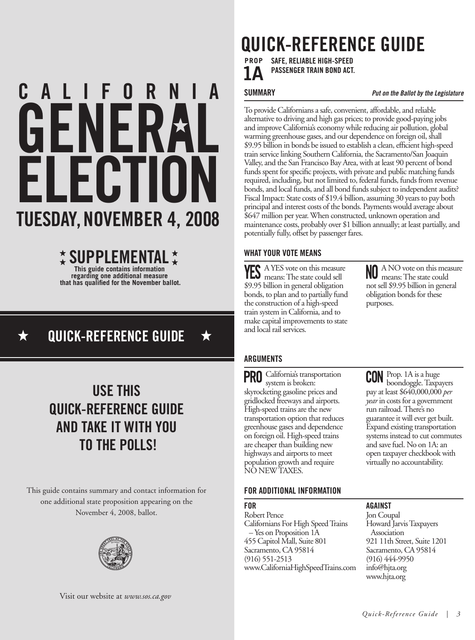## **ELECTION GENERAL CALIFORNIA TUESDAY, NOVEMBER 4, 2008**

### **This guide contains information SUPPLEMENTALregarding one additional measure**  that has qualified for the November ballot.

### **QUICK-REFERENCE GUIDE**

### **USE THIS QUICK-REFERENCE GUIDE AND TAKE IT WITH YOU TO THE POLLS!**

This guide contains summary and contact information for one additional state proposition appearing on the November 4, 2008, ballot.



### **QUICK-REFERENCE GUIDE**

**SAFE, RELIABLE HIGH-SPEED PASSENGER TRAIN BOND ACT. PROP**

**SUMMARY** *Put on the Ballot by the Legislature*

To provide Californians a safe, convenient, affordable, and reliable alternative to driving and high gas prices; to provide good-paying jobs and improve California's economy while reducing air pollution, global warming greenhouse gases, and our dependence on foreign oil, shall \$9.95 billion in bonds be issued to establish a clean, efficient high-speed train service linking Southern California, the Sacramento/San Joaquin Valley, and the San Francisco Bay Area, with at least 90 percent of bond funds spent for specific projects, with private and public matching funds required, including, but not limited to, federal funds, funds from revenue bonds, and local funds, and all bond funds subject to independent audits? Fiscal Impact: State costs of \$19.4 billion, assuming 30 years to pay both principal and interest costs of the bonds. Payments would average about \$647 million per year. When constructed, unknown operation and maintenance costs, probably over \$1 billion annually; at least partially, and potentially fully, offset by passenger fares.

### **WHAT YOUR VOTE MEANS**

A YES vote on this measure means: The state could sell \$9.95 billion in general obligation bonds, to plan and to partially fund the construction of a high-speed train system in California, and to make capital improvements to state and local rail services.

A NO vote on this measure means: The state could not sell \$9.95 billion in general obligation bonds for these purposes.

### **ARGUMENTS**

PRO California's transportation system is broken: skyrocketing gasoline prices and gridlocked freeways and airports. High-speed trains are the new transportation option that reduces greenhouse gases and dependence on foreign oil. High-speed trains are cheaper than building new highways and airports to meet population growth and require NO NEW TAXES.

Prop. 1A is a huge boondoggle. Taxpayers pay at least \$640,000,000 *per year* in costs for a government run railroad. There's no guarantee it will ever get built. Expand existing transportation and save fuel. No on 1A: an open taxpayer checkbook with virtually no accountability.

**AGAINST** Jon Coupal

Association

### **FOR ADDITIONAL INFORMATION**

### **FOR**

Robert Pence Californians For High Speed Trains – Yes on Proposition 1A 455 Capitol Mall, Suite 801 Sacramento, CA 95814 (916) 551-2513 www.CaliforniaHighSpeedTrains.com systems instead to cut commutes

### Visit our website at *www.sos.ca.gov*

Howard Jarvis Taxpayers

921 11th Street, Suite 1201 Sacramento, CA 95814 (916) 444-9950 info@hjta.org www.hjta.org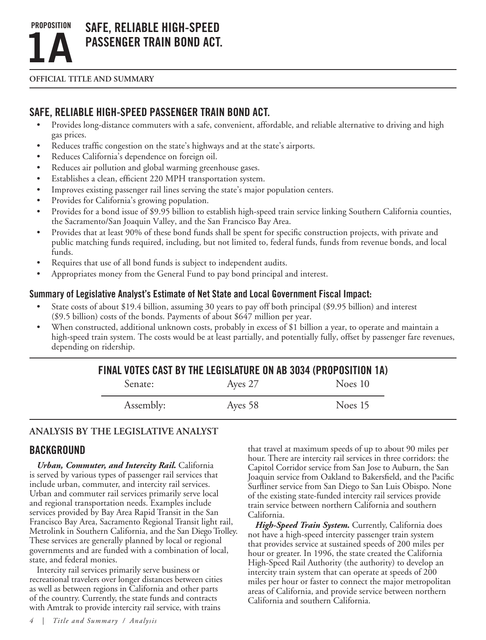

### **Safe, Reliable High-Speed Passenger Train Bond Act.**

**OFFICIAL TITLE AND SUMMARY**

### **Safe, Reliable High-Speed Passenger Train Bond Act.**

- • Provides long-distance commuters with a safe, convenient, affordable, and reliable alternative to driving and high gas prices.
- Reduces traffic congestion on the state's highways and at the state's airports.
- • Reduces California's dependence on foreign oil.
- Reduces air pollution and global warming greenhouse gases.
- • Establishes a clean, efficient 220 MPH transportation system.
- Improves existing passenger rail lines serving the state's major population centers.
- Provides for California's growing population.
- Provides for a bond issue of \$9.95 billion to establish high-speed train service linking Southern California counties, the Sacramento/San Joaquin Valley, and the San Francisco Bay Area.
- Provides that at least 90% of these bond funds shall be spent for specific construction projects, with private and public matching funds required, including, but not limited to, federal funds, funds from revenue bonds, and local funds.
- Requires that use of all bond funds is subject to independent audits.
- Appropriates money from the General Fund to pay bond principal and interest.

### **Summary of Legislative Analyst's Estimate of Net State and Local Government Fiscal Impact:**

- State costs of about \$19.4 billion, assuming 30 years to pay off both principal (\$9.95 billion) and interest (\$9.5 billion) costs of the bonds. Payments of about \$647 million per year.
- When constructed, additional unknown costs, probably in excess of \$1 billion a year, to operate and maintain a high-speed train system. The costs would be at least partially, and potentially fully, offset by passenger fare revenues, depending on ridership.

| FINAL VOTES CAST BY THE LEGISLATURE ON AB 3034 (PROPOSITION 1A) |         |         |
|-----------------------------------------------------------------|---------|---------|
| Senate:                                                         | Ayes 27 | Noes 10 |
| Assembly:                                                       | Ayes 58 | Noes 15 |

### **Analysis BY THE LEGISLATIVE ANALYST**

### **BACKGROUND**

*Urban, Commuter, and Intercity Rail.* California is served by various types of passenger rail services that include urban, commuter, and intercity rail services. Urban and commuter rail services primarily serve local and regional transportation needs. Examples include services provided by Bay Area Rapid Transit in the San Francisco Bay Area, Sacramento Regional Transit light rail, Metrolink in Southern California, and the San Diego Trolley. These services are generally planned by local or regional governments and are funded with a combination of local, state, and federal monies.

Intercity rail services primarily serve business or recreational travelers over longer distances between cities as well as between regions in California and other parts of the country. Currently, the state funds and contracts with Amtrak to provide intercity rail service, with trains

*4 | Title and Summary / Analysis*

that travel at maximum speeds of up to about 90 miles per hour. There are intercity rail services in three corridors: the Capitol Corridor service from San Jose to Auburn, the San Joaquin service from Oakland to Bakersfield, and the Pacific Surfliner service from San Diego to San Luis Obispo. None of the existing state-funded intercity rail services provide train service between northern California and southern California.

*High-Speed Train System.* Currently, California does not have a high-speed intercity passenger train system that provides service at sustained speeds of 200 miles per hour or greater. In 1996, the state created the California High-Speed Rail Authority (the authority) to develop an intercity train system that can operate at speeds of 200 miles per hour or faster to connect the major metropolitan areas of California, and provide service between northern California and southern California.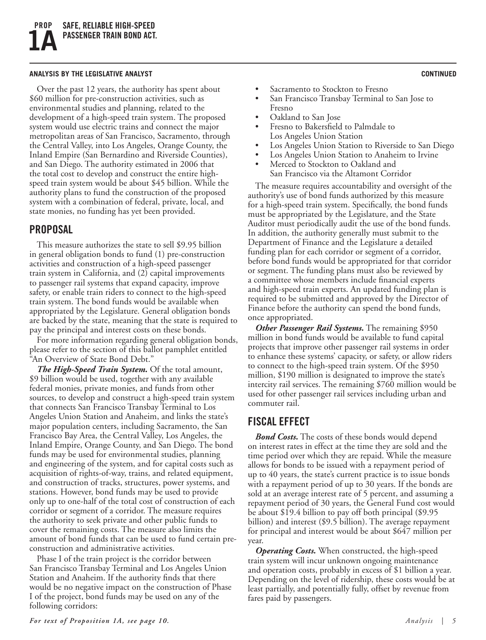#### **analysis by the legislative analyst CONTINUED**

Over the past 12 years, the authority has spent about \$60 million for pre-construction activities, such as environmental studies and planning, related to the development of a high-speed train system. The proposed system would use electric trains and connect the major metropolitan areas of San Francisco, Sacramento, through the Central Valley, into Los Angeles, Orange County, the Inland Empire (San Bernardino and Riverside Counties), and San Diego. The authority estimated in 2006 that the total cost to develop and construct the entire highspeed train system would be about \$45 billion. While the authority plans to fund the construction of the proposed system with a combination of federal, private, local, and state monies, no funding has yet been provided.

### **Proposal**

This measure authorizes the state to sell \$9.95 billion in general obligation bonds to fund (1) pre-construction activities and construction of a high-speed passenger train system in California, and (2) capital improvements to passenger rail systems that expand capacity, improve safety, or enable train riders to connect to the high-speed train system. The bond funds would be available when appropriated by the Legislature. General obligation bonds are backed by the state, meaning that the state is required to pay the principal and interest costs on these bonds.

For more information regarding general obligation bonds, please refer to the section of this ballot pamphlet entitled "An Overview of State Bond Debt."

*The High-Speed Train System.* Of the total amount, \$9 billion would be used, together with any available federal monies, private monies, and funds from other sources, to develop and construct a high-speed train system that connects San Francisco Transbay Terminal to Los Angeles Union Station and Anaheim, and links the state's major population centers, including Sacramento, the San Francisco Bay Area, the Central Valley, Los Angeles, the Inland Empire, Orange County, and San Diego. The bond funds may be used for environmental studies, planning and engineering of the system, and for capital costs such as acquisition of rights-of-way, trains, and related equipment, and construction of tracks, structures, power systems, and stations. However, bond funds may be used to provide only up to one-half of the total cost of construction of each corridor or segment of a corridor. The measure requires the authority to seek private and other public funds to cover the remaining costs. The measure also limits the amount of bond funds that can be used to fund certain preconstruction and administrative activities.

Phase I of the train project is the corridor between San Francisco Transbay Terminal and Los Angeles Union Station and Anaheim. If the authority finds that there would be no negative impact on the construction of Phase I of the project, bond funds may be used on any of the following corridors:

- Sacramento to Stockton to Fresno
- San Francisco Transbay Terminal to San Jose to Fresno
- Oakland to San Jose
- Fresno to Bakersfield to Palmdale to Los Angeles Union Station
- Los Angeles Union Station to Riverside to San Diego
- Los Angeles Union Station to Anaheim to Irvine
- Merced to Stockton to Oakland and San Francisco via the Altamont Corridor

The measure requires accountability and oversight of the authority's use of bond funds authorized by this measure for a high-speed train system. Specifically, the bond funds must be appropriated by the Legislature, and the State Auditor must periodically audit the use of the bond funds. In addition, the authority generally must submit to the Department of Finance and the Legislature a detailed funding plan for each corridor or segment of a corridor, before bond funds would be appropriated for that corridor or segment. The funding plans must also be reviewed by a committee whose members include financial experts and high-speed train experts. An updated funding plan is required to be submitted and approved by the Director of Finance before the authority can spend the bond funds, once appropriated.

*Other Passenger Rail Systems.* The remaining \$950 million in bond funds would be available to fund capital projects that improve other passenger rail systems in order to enhance these systems' capacity, or safety, or allow riders to connect to the high-speed train system. Of the \$950 million, \$190 million is designated to improve the state's intercity rail services. The remaining \$760 million would be used for other passenger rail services including urban and commuter rail.

### **Fiscal Effect**

*Bond Costs.* The costs of these bonds would depend on interest rates in effect at the time they are sold and the time period over which they are repaid. While the measure allows for bonds to be issued with a repayment period of up to 40 years, the state's current practice is to issue bonds with a repayment period of up to 30 years. If the bonds are sold at an average interest rate of 5 percent, and assuming a repayment period of 30 years, the General Fund cost would be about \$19.4 billion to pay off both principal (\$9.95 billion) and interest (\$9.5 billion). The average repayment for principal and interest would be about \$647 million per year.

*Operating Costs.* When constructed, the high-speed train system will incur unknown ongoing maintenance and operation costs, probably in excess of \$1 billion a year. Depending on the level of ridership, these costs would be at least partially, and potentially fully, offset by revenue from fares paid by passengers.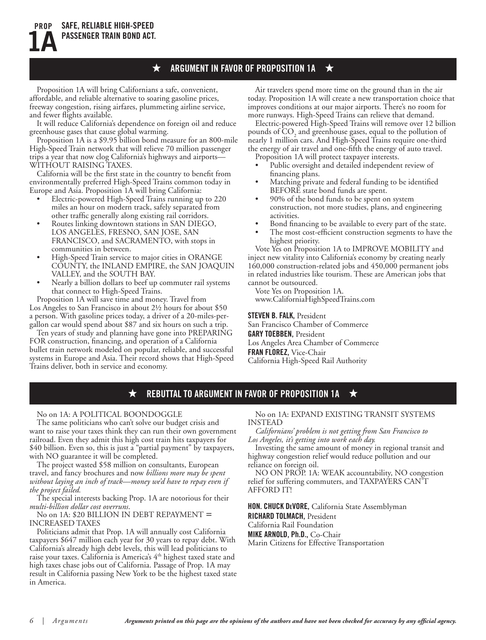Proposition 1A will bring Californians a safe, convenient, affordable, and reliable alternative to soaring gasoline prices, freeway congestion, rising airfares, plummeting airline service, and fewer flights available.

★

**SAFE, RELIABLE HIGH-SPEED PASSENGER TRAIN BOND ACT.**

**PROP**

**1A**

It will reduce California's dependence on foreign oil and reduce greenhouse gases that cause global warming.

Proposition 1A is a \$9.95 billion bond measure for an 800-mile High-Speed Train network that will relieve 70 million passenger trips a year that now clog California's highways and airports— WITHOUT RAISING TAXES.

California will be the first state in the country to benefit from environmentally preferred High-Speed Trains common today in Europe and Asia. Proposition 1A will bring California:

- Electric-powered High-Speed Trains running up to 220 miles an hour on modern track, safely separated from other traffic generally along existing rail corridors.
- Routes linking downtown stations in SAN DIEGO, LOS ANGELES, FRESNO, SAN JOSE, SAN FRANCISCO, and SACRAMENTO, with stops in communities in between.
- High-Speed Train service to major cities in ORANGE COUNTY, the INLAND EMPIRE, the SAN JOAQUIN VALLEY, and the SOUTH BAY.
- Nearly a billion dollars to beef up commuter rail systems that connect to High-Speed Trains.

Proposition 1A will save time and money. Travel from Los Angeles to San Francisco in about 2½ hours for about \$50 a person. With gasoline prices today, a driver of a 20-miles-pergallon car would spend about \$87 and six hours on such a trip.

Ten years of study and planning have gone into PREPARING FOR construction, financing, and operation of a California bullet train network modeled on popular, reliable, and successful systems in Europe and Asia. Their record shows that High-Speed Trains deliver, both in service and economy.

Air travelers spend more time on the ground than in the air today. Proposition 1A will create a new transportation choice that improves conditions at our major airports. There's no room for more runways. High-Speed Trains can relieve that demand.

Electric-powered High-Speed Trains will remove over 12 billion pounds of  $CO<sub>2</sub>$  and greenhouse gases, equal to the pollution of nearly 1 million cars. And High-Speed Trains require one-third the energy of air travel and one-fifth the energy of auto travel.

- Proposition 1A will protect taxpayer interests.
- Public oversight and detailed independent review of financing plans.
- Matching private and federal funding to be identified BEFORE state bond funds are spent.
- 90% of the bond funds to be spent on system construction, not more studies, plans, and engineering activities.
- Bond financing to be available to every part of the state.
- The most cost-efficient construction segments to have the highest priority.

Vote Yes on Proposition 1A to IMPROVE MOBILITY and inject new vitality into California's economy by creating nearly 160,000 construction-related jobs and 450,000 permanent jobs in related industries like tourism. These are American jobs that cannot be outsourced.

Vote Yes on Proposition 1A.

www.CaliforniaHighSpeedTrains.com

**Steven b. falk,** President San Francisco Chamber of Commerce **Gary toebben,** President Los Angeles Area Chamber of Commerce **Fran florez,** Vice-Chair California High-Speed Rail Authority

#### **REBUTTAL TO ARGUMENT IN FAVOR OF PROPOSITION 1A** ★ ★

#### No on 1A: A POLITICAL BOONDOGGLE

The same politicians who can't solve our budget crisis and want to raise your taxes think they can run their own government railroad. Even they admit this high cost train hits taxpayers for \$40 billion. Even so, this is just a "partial payment" by taxpayers, with NO guarantee it will be completed.

The project wasted \$58 million on consultants, European travel, and fancy brochures and now *billions more may be spent without laying an inch of track—money we'd have to repay even if the project failed.*

The special interests backing Prop. 1A are notorious for their *multi-billion dollar cost overruns*.

### No on 1A: \$20 BILLION IN DEBT REPAYMENT = INCREASED TAXES

Politicians admit that Prop. 1A will annually cost California taxpayers \$647 million each year for 30 years to repay debt. With California's already high debt levels, this will lead politicians to raise your taxes. California is America's 4<sup>th</sup> highest taxed state and high taxes chase jobs out of California. Passage of Prop. 1A may result in California passing New York to be the highest taxed state in America.

No on 1A: EXPAND EXISTING TRANSIT SYSTEMS INSTEAD

*Californians' problem is not getting from San Francisco to Los Angeles, it's getting into work each day.*

Investing the same amount of money in regional transit and highway congestion relief would reduce pollution and our reliance on foreign oil.

NO ON PROP. 1A: WEAK accountability, NO congestion relief for suffering commuters, and TAXPAYERS CAN'T AFFORD IT!

**Hon. Chuck Devore,** California State Assemblyman **Richard Tolmach,** President California Rail Foundation **Mike ARnold, Ph.d.,** Co-Chair Marin Citizens for Effective Transportation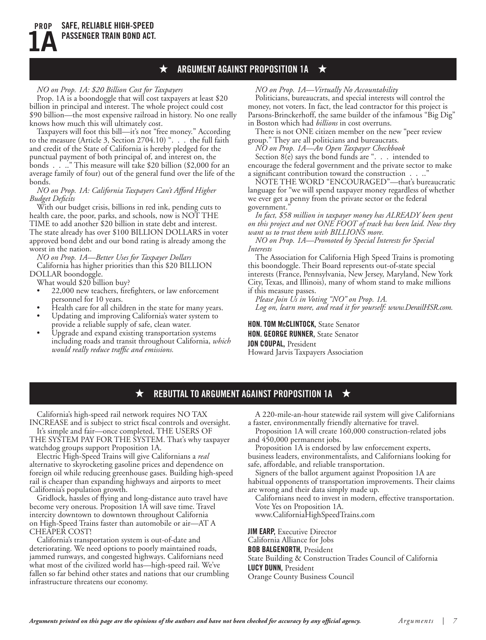#### ★ **ARGUMENT AGAINST PROPOSITION 1A** ★

#### *NO on Prop. 1A: \$20 Billion Cost for Taxpayers*

Prop. 1A is a boondoggle that will cost taxpayers at least \$20 billion in principal and interest. The whole project could cost \$90 billion—the most expensive railroad in history. No one really knows how much this will ultimately cost.

Taxpayers will foot this bill—it's not "free money." According to the measure (Article 3, Section 2704.10) ". . . the full faith and credit of the State of California is hereby pledged for the punctual payment of both principal of, and interest on, the bonds . . ..." This measure will take \$20 billion (\$2,000 for an average family of four) out of the general fund over the life of the bonds.

*NO on Prop. 1A: California Taxpayers Can't Afford Higher Budget Deficits*

With our budget crisis, billions in red ink, pending cuts to health care, the poor, parks, and schools, now is NOT THE TIME to add another \$20 billion in state debt and interest. The state already has over \$100 BILLION DOLLARS in voter approved bond debt and our bond rating is already among the worst in the nation.

*NO on Prop. 1A—Better Uses for Taxpayer Dollars* California has higher priorities than this \$20 BILLION DOLLAR boondoggle.

What would \$20 billion buy?

- 22,000 new teachers, firefighters, or law enforcement personnel for 10 years.
- Health care for all children in the state for many years.
- Updating and improving California's water system to provide a reliable supply of safe, clean water.
- Upgrade and expand existing transportation systems including roads and transit throughout California, *which would really reduce traffic and emissions.*

*NO on Prop. 1A—Virtually No Accountability* 

Politicians, bureaucrats, and special interests will control the money, not voters. In fact, the lead contractor for this project is Parsons-Brinckerhoff, the same builder of the infamous "Big Dig" in Boston which had *billions* in cost overruns.

There is not ONE citizen member on the new "peer review group." They are all politicians and bureaucrats.

*NO on Prop. 1A—An Open Taxpayer Checkbook* Section  $8(e)$  says the bond funds are ". . . intended to

encourage the federal government and the private sector to make a significant contribution toward the construction . . .."

NOTE THE WORD "ENCOURAGED"—that's bureaucratic language for "we will spend taxpayer money regardless of whether we ever get a penny from the private sector or the federal government."

*In fact, \$58 million in taxpayer money has ALREADY been spent on this project and not ONE FOOT of track has been laid. Now they want us to trust them with BILLIONS more.*

*NO on Prop. 1A—Promoted by Special Interests for Special Interests*

The Association for California High Speed Trains is promoting this boondoggle. Their Board represents out-of-state special interests (France, Pennsylvania, New Jersey, Maryland, New York City, Texas, and Illinois), many of whom stand to make millions if this measure passes.

*Please Join Us in Voting "NO" on Prop. 1A. Log on, learn more, and read it for yourself: www.DerailHSR.com.*

**Hon. Tom McClintock,** State Senator **Hon. George runner,** State Senator **Jon Coupal,** President Howard Jarvis Taxpayers Association

#### **REBUTTAL TO ARGUMENT AGAINST PROPOSITION 1A**  $\bigstar$ ★

California's high-speed rail network requires NO TAX INCREASE and is subject to strict fiscal controls and oversight.

It's simple and fair—once completed, THE USERS OF THE SYSTEM PAY FOR THE SYSTEM. That's why taxpayer

watchdog groups support Proposition 1A. Electric High-Speed Trains will give Californians a *real*

alternative to skyrocketing gasoline prices and dependence on foreign oil while reducing greenhouse gases. Building high-speed rail is cheaper than expanding highways and airports to meet California's population growth.

Gridlock, hassles of flying and long-distance auto travel have become very onerous. Proposition 1A will save time. Travel intercity downtown to downtown throughout California on High-Speed Trains faster than automobile or air—AT A CHEAPER COST!

California's transportation system is out-of-date and deteriorating. We need options to poorly maintained roads, jammed runways, and congested highways. Californians need what most of the civilized world has—high-speed rail. We've fallen so far behind other states and nations that our crumbling infrastructure threatens our economy.

A 220-mile-an-hour statewide rail system will give Californians a faster, environmentally friendly alternative for travel.

Proposition 1A will create 160,000 construction-related jobs and 450,000 permanent jobs.

Proposition 1A is endorsed by law enforcement experts, business leaders, environmentalists, and Californians looking for safe, affordable, and reliable transportation.

Signers of the ballot argument against Proposition 1A are habitual opponents of transportation improvements. Their claims are wrong and their data simply made up.

Californians need to invest in modern, effective transportation. Vote Yes on Proposition 1A.

www.CaliforniaHighSpeedTrains.com

**JIM EARP.** Executive Director California Alliance for Jobs **Bob balgenorth,** President State Building & Construction Trades Council of California **Lucy dunn,** President Orange County Business Council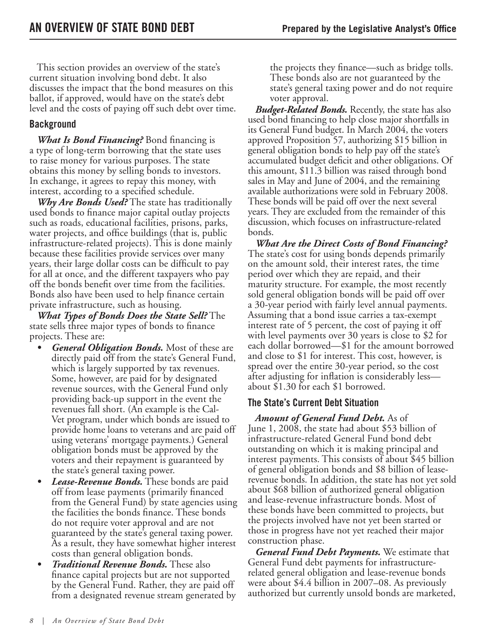This section provides an overview of the state's current situation involving bond debt. It also discusses the impact that the bond measures on this ballot, if approved, would have on the state's debt level and the costs of paying off such debt over time.

### **Background**

**What Is Bond Financing?** Bond financing is a type of long-term borrowing that the state uses to raise money for various purposes. The state obtains this money by selling bonds to investors. In exchange, it agrees to repay this money, with interest, according to a specified schedule.

*Why Are Bonds Used?* The state has traditionally used bonds to finance major capital outlay projects such as roads, educational facilities, prisons, parks, water projects, and office buildings (that is, public infrastructure-related projects). This is done mainly because these facilities provide services over many years, their large dollar costs can be difficult to pay for all at once, and the different taxpayers who pay off the bonds benefit over time from the facilities. Bonds also have been used to help finance certain private infrastructure, such as housing.

*What Types of Bonds Does the State Sell?* The state sells three major types of bonds to finance projects. These are:

- *General Obligation Bonds.* Most of these are directly paid off from the state's General Fund, which is largely supported by tax revenues. Some, however, are paid for by designated revenue sources, with the General Fund only providing back-up support in the event the revenues fall short. (An example is the Cal-Vet program, under which bonds are issued to provide home loans to veterans and are paid off using veterans' mortgage payments.) General obligation bonds must be approved by the voters and their repayment is guaranteed by the state's general taxing power.
- *Lease-Revenue Bonds.* These bonds are paid off from lease payments (primarily financed from the General Fund) by state agencies using the facilities the bonds finance. These bonds do not require voter approval and are not guaranteed by the state's general taxing power. As a result, they have somewhat higher interest costs than general obligation bonds.
- *Traditional Revenue Bonds.* These also finance capital projects but are not supported by the General Fund. Rather, they are paid off from a designated revenue stream generated by

the projects they finance—such as bridge tolls. These bonds also are not guaranteed by the state's general taxing power and do not require voter approval.

*Budget-Related Bonds.* Recently, the state has also used bond financing to help close major shortfalls in its General Fund budget. In March 2004, the voters approved Proposition 57, authorizing \$15 billion in general obligation bonds to help pay off the state's accumulated budget deficit and other obligations. Of this amount, \$11.3 billion was raised through bond sales in May and June of 2004, and the remaining available authorizations were sold in February 2008. These bonds will be paid off over the next several years. They are excluded from the remainder of this discussion, which focuses on infrastructure-related bonds.

*What Are the Direct Costs of Bond Financing?* The state's cost for using bonds depends primarily on the amount sold, their interest rates, the time period over which they are repaid, and their maturity structure. For example, the most recently sold general obligation bonds will be paid off over a 30-year period with fairly level annual payments. Assuming that a bond issue carries a tax-exempt interest rate of 5 percent, the cost of paying it off with level payments over 30 years is close to \$2 for each dollar borrowed—\$1 for the amount borrowed and close to \$1 for interest. This cost, however, is spread over the entire 30-year period, so the cost after adjusting for inflation is considerably less about \$1.30 for each \$1 borrowed.

### **The State's Current Debt Situation**

*Amount of General Fund Debt.* As of June 1, 2008, the state had about \$53 billion of infrastructure-related General Fund bond debt outstanding on which it is making principal and interest payments. This consists of about \$45 billion of general obligation bonds and \$8 billion of leaserevenue bonds. In addition, the state has not yet sold about \$68 billion of authorized general obligation and lease-revenue infrastructure bonds. Most of these bonds have been committed to projects, but the projects involved have not yet been started or those in progress have not yet reached their major construction phase.

*General Fund Debt Payments.* We estimate that General Fund debt payments for infrastructurerelated general obligation and lease-revenue bonds were about \$4.4 billion in 2007–08. As previously authorized but currently unsold bonds are marketed,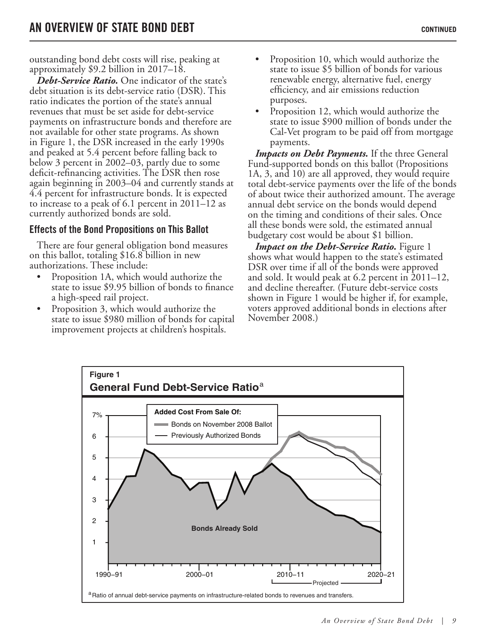outstanding bond debt costs will rise, peaking at approximately \$9.2 billion in 2017–18.

*Debt-Service Ratio.* One indicator of the state's debt situation is its debt-service ratio (DSR). This ratio indicates the portion of the state's annual revenues that must be set aside for debt-service payments on infrastructure bonds and therefore are not available for other state programs. As shown in Figure 1, the DSR increased in the early 1990s and peaked at 5.4 percent before falling back to below 3 percent in 2002–03, partly due to some deficit-refinancing activities. The DSR then rose again beginning in 2003–04 and currently stands at 4.4 percent for infrastructure bonds. It is expected to increase to a peak of 6.1 percent in 2011–12 as currently authorized bonds are sold.

### **Effects of the Bond Propositions on This Ballot**

There are four general obligation bond measures on this ballot, totaling \$16.8 billion in new authorizations. These include:

- Proposition 1A, which would authorize the state to issue \$9.95 billion of bonds to finance a high-speed rail project.
- Proposition 3, which would authorize the state to issue \$980 million of bonds for capital improvement projects at children's hospitals.
- Proposition 10, which would authorize the state to issue \$5 billion of bonds for various renewable energy, alternative fuel, energy efficiency, and air emissions reduction purposes.
- Proposition 12, which would authorize the state to issue \$900 million of bonds under the Cal-Vet program to be paid off from mortgage payments.

*Impacts on Debt Payments.* If the three General Fund-supported bonds on this ballot (Propositions 1A, 3, and 10) are all approved, they would require total debt-service payments over the life of the bonds of about twice their authorized amount. The average annual debt service on the bonds would depend on the timing and conditions of their sales. Once all these bonds were sold, the estimated annual budgetary cost would be about \$1 billion.

*Impact on the Debt-Service Ratio.* Figure 1 shows what would happen to the state's estimated DSR over time if all of the bonds were approved and sold. It would peak at 6.2 percent in 2011–12, and decline thereafter. (Future debt-service costs shown in Figure 1 would be higher if, for example, voters approved additional bonds in elections after November 2008.)

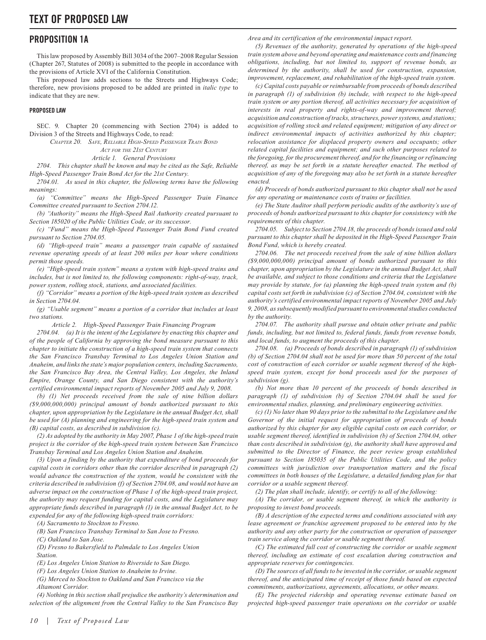#### **PROPOSITION 1A**

This law proposed by Assembly Bill 3034 of the 2007–2008 Regular Session (Chapter 267, Statutes of 2008) is submitted to the people in accordance with the provisions of Article XVI of the California Constitution.

This proposed law adds sections to the Streets and Highways Code; therefore, new provisions proposed to be added are printed in *italic type* to indicate that they are new.

#### **PROPOSED LAW**

SEC. 9. Chapter 20 (commencing with Section 2704) is added to Division 3 of the Streets and Highways Code, to read:

*CHAPTER 20. SAFE, RELIABLE HIGH-SPEED PASSENGER TRAIN BOND*

*ACT FOR THE 21ST CENTURY*

*Article 1. General Provisions*

*2704. This chapter shall be known and may be cited as the Safe, Reliable High-Speed Passenger Train Bond Act for the 21st Century.*

*2704.01. As used in this chapter, the following terms have the following meanings:*

*(a) "Committee" means the High-Speed Passenger Train Finance Committee created pursuant to Section 2704.12.*

*(b) "Authority" means the High-Speed Rail Authority created pursuant to Section 185020 of the Public Utilities Code, or its successor.*

*(c) "Fund" means the High-Speed Passenger Train Bond Fund created pursuant to Section 2704.05.*

*(d) "High-speed train" means a passenger train capable of sustained revenue operating speeds of at least 200 miles per hour where conditions permit those speeds.*

*(e) "High-speed train system" means a system with high-speed trains and includes, but is not limited to, the following components: right-of-way, track, power system, rolling stock, stations, and associated facilities.*

*(f) "Corridor" means a portion of the high-speed train system as described in Section 2704.04.*

*(g) "Usable segment" means a portion of a corridor that includes at least two stations.*

*Article 2. High-Speed Passenger Train Financing Program*

*2704.04. (a) It is the intent of the Legislature by enacting this chapter and of the people of California by approving the bond measure pursuant to this chapter to initiate the construction of a high-speed train system that connects the San Francisco Transbay Terminal to Los Angeles Union Station and Anaheim, and links the state's major population centers, including Sacramento, the San Francisco Bay Area, the Central Valley, Los Angeles, the Inland Empire, Orange County, and San Diego consistent with the authority's certified environmental impact reports of November 2005 and July 9, 2008.*

*(b) (1) Net proceeds received from the sale of nine billion dollars (\$9,000,000,000) principal amount of bonds authorized pursuant to this chapter, upon appropriation by the Legislature in the annual Budget Act, shall be used for (A) planning and engineering for the high-speed train system and (B) capital costs, as described in subdivision (c).*

*(2) As adopted by the authority in May 2007, Phase 1 of the high-speed train project is the corridor of the high-speed train system between San Francisco Transbay Terminal and Los Angeles Union Station and Anaheim.*

*(3) Upon a finding by the authority that expenditure of bond proceeds for capital costs in corridors other than the corridor described in paragraph (2) would advance the construction of the system, would be consistent with the criteria described in subdivision (f) of Section 2704.08, and would not have an adverse impact on the construction of Phase 1 of the high-speed train project, the authority may request funding for capital costs, and the Legislature may appropriate funds described in paragraph (1) in the annual Budget Act, to be expended for any of the following high-speed train corridors:*

*(A) Sacramento to Stockton to Fresno.*

*(B) San Francisco Transbay Terminal to San Jose to Fresno.*

*(C) Oakland to San Jose.*

*(D) Fresno to Bakersfield to Palmdale to Los Angeles Union Station.*

*(E) Los Angeles Union Station to Riverside to San Diego.*

*(F) Los Angeles Union Station to Anaheim to Irvine.*

*(G) Merced to Stockton to Oakland and San Francisco via the Altamont Corridor.*

*(4) Nothing in this section shall prejudice the authority's determination and selection of the alignment from the Central Valley to the San Francisco Bay*  *Area and its certification of the environmental impact report.*

*(5) Revenues of the authority, generated by operations of the high-speed train system above and beyond operating and maintenance costs and financing obligations, including, but not limited to, support of revenue bonds, as determined by the authority, shall be used for construction, expansion, improvement, replacement, and rehabilitation of the high-speed train system.*

*(c) Capital costs payable or reimbursable from proceeds of bonds described in paragraph (1) of subdivision (b) include, with respect to the high-speed train system or any portion thereof, all activities necessary for acquisition of interests in real property and rights-of-way and improvement thereof; acquisition and construction of tracks, structures, power systems, and stations; acquisition of rolling stock and related equipment; mitigation of any direct or*  indirect environmental impacts of activities authorized by this chapter; relocation assistance for displaced property owners and occupants; other *related capital facilities and equipment; and such other purposes related to the foregoing, for the procurement thereof, and for the financing or refinancing thereof, as may be set forth in a statute hereafter enacted. The method of acquisition of any of the foregoing may also be set forth in a statute hereafter enacted.*

*(d) Proceeds of bonds authorized pursuant to this chapter shall not be used for any operating or maintenance costs of trains or facilities.*

*(e) The State Auditor shall perform periodic audits of the authority's use of proceeds of bonds authorized pursuant to this chapter for consistency with the requirements of this chapter.*

*2704.05. Subject to Section 2704.18, the proceeds of bonds issued and sold pursuant to this chapter shall be deposited in the High-Speed Passenger Train Bond Fund, which is hereby created.*

*2704.06. The net proceeds received from the sale of nine billion dollars (\$9,000,000,000) principal amount of bonds authorized pursuant to this chapter, upon appropriation by the Legislature in the annual Budget Act, shall be available, and subject to those conditions and criteria that the Legislature may provide by statute, for (a) planning the high-speed train system and (b) capital costs set forth in subdivision (c) of Section 2704.04, consistent with the authority's certified environmental impact reports of November 2005 and July 9, 2008, as subsequently modified pursuant to environmental studies conducted by the authority.*

*2704.07. The authority shall pursue and obtain other private and public funds, including, but not limited to, federal funds, funds from revenue bonds, and local funds, to augment the proceeds of this chapter.*

*2704.08. (a) Proceeds of bonds described in paragraph (1) of subdivision (b) of Section 2704.04 shall not be used for more than 50 percent of the total cost of construction of each corridor or usable segment thereof of the highspeed train system, except for bond proceeds used for the purposes of subdivision (g).*

*(b) Not more than 10 percent of the proceeds of bonds described in paragraph (1) of subdivision (b) of Section 2704.04 shall be used for environmental studies, planning, and preliminary engineering activities.*

*(c) (1) No later than 90 days prior to the submittal to the Legislature and the Governor of the initial request for appropriation of proceeds of bonds authorized by this chapter for any eligible capital costs on each corridor, or usable segment thereof, identified in subdivision (b) of Section 2704.04, other than costs described in subdivision (g), the authority shall have approved and submitted to the Director of Finance, the peer review group established pursuant to Section 185035 of the Public Utilities Code, and the policy committees with jurisdiction over transportation matters and the fiscal committees in both houses of the Legislature, a detailed funding plan for that corridor or a usable segment thereof.*

*(2) The plan shall include, identify, or certify to all of the following:*

*(A) The corridor, or usable segment thereof, in which the authority is proposing to invest bond proceeds.*

*(B) A description of the expected terms and conditions associated with any lease agreement or franchise agreement proposed to be entered into by the authority and any other party for the construction or operation of passenger train service along the corridor or usable segment thereof.*

*(C) The estimated full cost of constructing the corridor or usable segment thereof, including an estimate of cost escalation during construction and appropriate reserves for contingencies.*

*(D) The sources of all funds to be invested in the corridor, or usable segment thereof, and the anticipated time of receipt of those funds based on expected commitments, authorizations, agreements, allocations, or other means.*

*(E) The projected ridership and operating revenue estimate based on projected high-speed passenger train operations on the corridor or usable*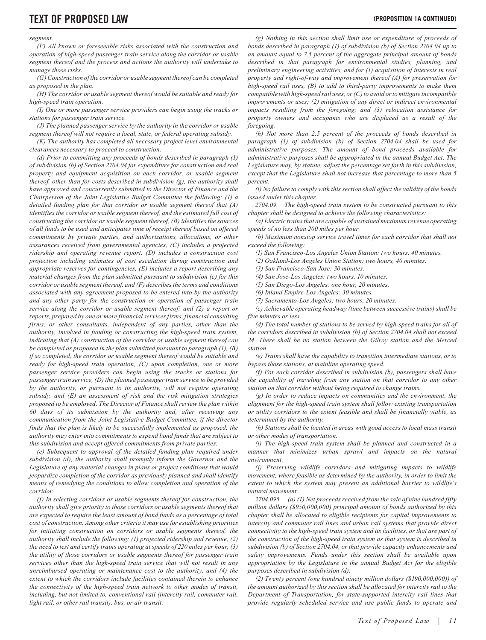#### *segment.*

*(F) All known or foreseeable risks associated with the construction and operation of high-speed passenger train service along the corridor or usable segment thereof and the process and actions the authority will undertake to manage those risks.*

*(G) Construction of the corridor or usable segment thereof can be completed as proposed in the plan.*

*(H) The corridor or usable segment thereof would be suitable and ready for high-speed train operation.*

*(I) One or more passenger service providers can begin using the tracks or stations for passenger train service.*

*(J) The planned passenger service by the authority in the corridor or usable segment thereof will not require a local, state, or federal operating subsidy.*

*(K) The authority has completed all necessary project level environmental clearances necessary to proceed to construction.*

*(d) Prior to committing any proceeds of bonds described in paragraph (1) of subdivision (b) of Section 2704.04 for expenditure for construction and real property and equipment acquisition on each corridor, or usable segment thereof, other than for costs described in subdivision (g), the authority shall have approved and concurrently submitted to the Director of Finance and the Chairperson of the Joint Legislative Budget Committee the following: (1) a detailed funding plan for that corridor or usable segment thereof that (A) identifies the corridor or usable segment thereof, and the estimated full cost of constructing the corridor or usable segment thereof, (B) identifies the sources of all funds to be used and anticipates time of receipt thereof based on offered commitments by private parties, and authorizations, allocations, or other assurances received from governmental agencies, (C) includes a projected ridership and operating revenue report, (D) includes a construction cost projection including estimates of cost escalation during construction and appropriate reserves for contingencies, (E) includes a report describing any material changes from the plan submitted pursuant to subdivision (c) for this corridor or usable segment thereof, and (F) describes the terms and conditions associated with any agreement proposed to be entered into by the authority and any other party for the construction or operation of passenger train service along the corridor or usable segment thereof; and (2) a report or reports, prepared by one or more financial services firms, financial consulting firms, or other consultants, independent of any parties, other than the authority, involved in funding or constructing the high-speed train system, indicating that (A) construction of the corridor or usable segment thereof can be completed as proposed in the plan submitted pursuant to paragraph (1), (B) if so completed, the corridor or usable segment thereof would be suitable and ready for high-speed train operation, (C) upon completion, one or more passenger service providers can begin using the tracks or stations for passenger train service, (D) the planned passenger train service to be provided by the authority, or pursuant to its authority, will not require operating subsidy, and (E) an assessment of risk and the risk mitigation strategies proposed to be employed. The Director of Finance shall review the plan within 60 days of its submission by the authority and, after receiving any communication from the Joint Legislative Budget Committee, if the director finds that the plan is likely to be successfully implemented as proposed, the authority may enter into commitments to expend bond funds that are subject to this subdivision and accept offered commitments from private parties.*

*(e) Subsequent to approval of the detailed funding plan required under subdivision (d), the authority shall promptly inform the Governor and the Legislature of any material changes in plans or project conditions that would jeopardize completion of the corridor as previously planned and shall identify means of remedying the conditions to allow completion and operation of the corridor.*

*(f) In selecting corridors or usable segments thereof for construction, the authority shall give priority to those corridors or usable segments thereof that are expected to require the least amount of bond funds as a percentage of total cost of construction. Among other criteria it may use for establishing priorities for initiating construction on corridors or usable segments thereof, the authority shall include the following: (1) projected ridership and revenue, (2) the need to test and certify trains operating at speeds of 220 miles per hour, (3) the utility of those corridors or usable segments thereof for passenger train services other than the high-speed train service that will not result in any unreimbursed operating or maintenance cost to the authority, and (4) the extent to which the corridors include facilities contained therein to enhance the connectivity of the high-speed train network to other modes of transit, including, but not limited to, conventional rail (intercity rail, commuter rail, light rail, or other rail transit), bus, or air transit.*

*(g) Nothing in this section shall limit use or expenditure of proceeds of bonds described in paragraph (1) of subdivision (b) of Section 2704.04 up to an amount equal to 7.5 percent of the aggregate principal amount of bonds described in that paragraph for environmental studies, planning, and preliminary engineering activities, and for (1) acquisition of interests in real property and right-of-way and improvement thereof (A) for preservation for high-speed rail uses, (B) to add to third-party improvements to make them compatible with high-speed rail uses, or (C) to avoid or to mitigate incompatible improvements or uses; (2) mitigation of any direct or indirect environmental impacts resulting from the foregoing; and (3) relocation assistance for property owners and occupants who are displaced as a result of the foregoing.*

*(h) Not more than 2.5 percent of the proceeds of bonds described in paragraph (1) of subdivision (b) of Section 2704.04 shall be used for administrative purposes. The amount of bond proceeds available for administrative purposes shall be appropriated in the annual Budget Act. The Legislature may, by statute, adjust the percentage set forth in this subdivision, except that the Legislature shall not increase that percentage to more than 5 percent.*

*(i) No failure to comply with this section shall affect the validity of the bonds issued under this chapter.*

*2704.09. The high-speed train system to be constructed pursuant to this chapter shall be designed to achieve the following characteristics:*

*(a) Electric trains that are capable of sustained maximum revenue operating speeds of no less than 200 miles per hour.*

*(b) Maximum nonstop service travel times for each corridor that shall not exceed the following:*

*(1) San Francisco-Los Angeles Union Station: two hours, 40 minutes.*

*(2) Oakland-Los Angeles Union Station: two hours, 40 minutes.*

*(3) San Francisco-San Jose: 30 minutes.*

*(4) San Jose-Los Angeles: two hours, 10 minutes.*

*(5) San Diego-Los Angeles: one hour, 20 minutes.*

*(6) Inland Empire-Los Angeles: 30 minutes.*

*(7) Sacramento-Los Angeles: two hours, 20 minutes.*

*(c) Achievable operating headway (time between successive trains) shall be five minutes or less.*

*(d) The total number of stations to be served by high-speed trains for all of the corridors described in subdivision (b) of Section 2704.04 shall not exceed*  24. There shall be no station between the Gilroy station and the Merced *station.*

*(e) Trains shall have the capability to transition intermediate stations, or to bypass those stations, at mainline operating speed.*

*(f) For each corridor described in subdivision (b), passengers shall have the capability of traveling from any station on that corridor to any other station on that corridor without being required to change trains.*

*(g) In order to reduce impacts on communities and the environment, the alignment for the high-speed train system shall follow existing transportation or utility corridors to the extent feasible and shall be financially viable, as determined by the authority.*

*(h) Stations shall be located in areas with good access to local mass transit or other modes of transportation.*

*(i) The high-speed train system shall be planned and constructed in a*  manner that minimizes urban sprawl and impacts on the natural *environment.*

*(j) Preserving wildlife corridors and mitigating impacts to wildlife movement, where feasible as determined by the authority, in order to limit the extent to which the system may present an additional barrier to wildlife's natural movement.*

*2704.095. (a) (1) Net proceeds received from the sale of nine hundred fifty million dollars (\$950,000,000) principal amount of bonds authorized by this chapter shall be allocated to eligible recipients for capital improvements to intercity and commuter rail lines and urban rail systems that provide direct connectivity to the high-speed train system and its facilities, or that are part of the construction of the high-speed train system as that system is described in subdivision (b) of Section 2704.04, or that provide capacity enhancements and safety improvements. Funds under this section shall be available upon appropriation by the Legislature in the annual Budget Act for the eligible purposes described in subdivision (d).*

*(2) Twenty percent (one hundred ninety million dollars (\$190,000,000)) of the amount authorized by this section shall be allocated for intercity rail to the Department of Transportation, for state-supported intercity rail lines that provide regularly scheduled service and use public funds to operate and*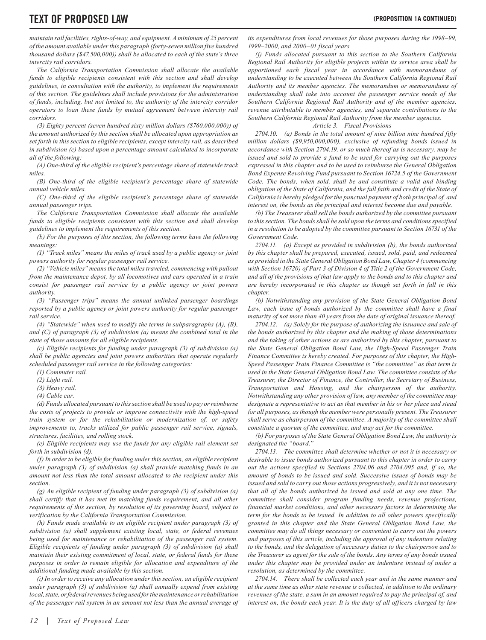*maintain rail facilities, rights-of-way, and equipment. A minimum of 25 percent of the amount available under this paragraph (forty-seven million five hundred thousand dollars (\$47,500,000)) shall be allocated to each of the state's three intercity rail corridors.*

*The California Transportation Commission shall allocate the available funds to eligible recipients consistent with this section and shall develop guidelines, in consultation with the authority, to implement the requirements of this section. The guidelines shall include provisions for the administration of funds, including, but not limited to, the authority of the intercity corridor operators to loan these funds by mutual agreement between intercity rail corridors.*

*(3) Eighty percent (seven hundred sixty million dollars (\$760,000,000)) of the amount authorized by this section shall be allocated upon appropriation as set forth in this section to eligible recipients, except intercity rail, as described in subdivision (c) based upon a percentage amount calculated to incorporate all of the following:*

*(A) One-third of the eligible recipient's percentage share of statewide track miles.*

*(B) One-third of the eligible recipient's percentage share of statewide annual vehicle miles.*

*(C) One-third of the eligible recipient's percentage share of statewide annual passenger trips.*

*The California Transportation Commission shall allocate the available funds to eligible recipients consistent with this section and shall develop guidelines to implement the requirements of this section.*

*(b) For the purposes of this section, the following terms have the following meanings:*

*(1) "Track miles" means the miles of track used by a public agency or joint powers authority for regular passenger rail service.*

*(2) "Vehicle miles" means the total miles traveled, commencing with pullout from the maintenance depot, by all locomotives and cars operated in a train consist for passenger rail service by a public agency or joint powers authority.*

*(3) "Passenger trips" means the annual unlinked passenger boardings reported by a public agency or joint powers authority for regular passenger rail service.*

*(4) "Statewide" when used to modify the terms in subparagraphs (A), (B), and (C) of paragraph (3) of subdivision (a) means the combined total in the state of those amounts for all eligible recipients.*

*(c) Eligible recipients for funding under paragraph (3) of subdivision (a) shall be public agencies and joint powers authorities that operate regularly scheduled passenger rail service in the following categories:*

*(4) Cable car.*

*(d) Funds allocated pursuant to this section shall be used to pay or reimburse the costs of projects to provide or improve connectivity with the high-speed train system or for the rehabilitation or modernization of, or safety improvements to, tracks utilized for public passenger rail service, signals, structures, facilities, and rolling stock.*

*(e) Eligible recipients may use the funds for any eligible rail element set forth in subdivision (d).*

*(f) In order to be eligible for funding under this section, an eligible recipient under paragraph (3) of subdivision (a) shall provide matching funds in an amount not less than the total amount allocated to the recipient under this section.*

*(g) An eligible recipient of funding under paragraph (3) of subdivision (a) shall certify that it has met its matching funds requirement, and all other requirements of this section, by resolution of its governing board, subject to verification by the California Transportation Commission.*

*(h) Funds made available to an eligible recipient under paragraph (3) of subdivision (a) shall supplement existing local, state, or federal revenues being used for maintenance or rehabilitation of the passenger rail system. Eligible recipients of funding under paragraph (3) of subdivision (a) shall maintain their existing commitment of local, state, or federal funds for these purposes in order to remain eligible for allocation and expenditure of the additional funding made available by this section.*

*(i) In order to receive any allocation under this section, an eligible recipient under paragraph (3) of subdivision (a) shall annually expend from existing local, state, or federal revenues being used for the maintenance or rehabilitation of the passenger rail system in an amount not less than the annual average of*  *its expenditures from local revenues for those purposes during the 1998–99, 1999–2000, and 2000–01 fiscal years.*

*(j) Funds allocated pursuant to this section to the Southern California Regional Rail Authority for eligible projects within its service area shall be apportioned each fiscal year in accordance with memorandums of understanding to be executed between the Southern California Regional Rail Authority and its member agencies. The memorandum or memorandums of understanding shall take into account the passenger service needs of the Southern California Regional Rail Authority and of the member agencies, revenue attributable to member agencies, and separate contributions to the Southern California Regional Rail Authority from the member agencies.*

#### *Article 3. Fiscal Provisions*

*2704.10. (a) Bonds in the total amount of nine billion nine hundred fifty million dollars (\$9,950,000,000), exclusive of refunding bonds issued in accordance with Section 2704.19, or so much thereof as is necessary, may be issued and sold to provide a fund to be used for carrying out the purposes expressed in this chapter and to be used to reimburse the General Obligation Bond Expense Revolving Fund pursuant to Section 16724.5 of the Government Code. The bonds, when sold, shall be and constitute a valid and binding obligation of the State of California, and the full faith and credit of the State of California is hereby pledged for the punctual payment of both principal of, and interest on, the bonds as the principal and interest become due and payable.*

*(b) The Treasurer shall sell the bonds authorized by the committee pursuant to this section. The bonds shall be sold upon the terms and conditions specified in a resolution to be adopted by the committee pursuant to Section 16731 of the Government Code.*

*2704.11. (a) Except as provided in subdivision (b), the bonds authorized by this chapter shall be prepared, executed, issued, sold, paid, and redeemed as provided in the State General Obligation Bond Law, Chapter 4 (commencing with Section 16720) of Part 3 of Division 4 of Title 2 of the Government Code, and all of the provisions of that law apply to the bonds and to this chapter and are hereby incorporated in this chapter as though set forth in full in this chapter.*

*(b) Notwithstanding any provision of the State General Obligation Bond*  Law, each issue of bonds authorized by the committee shall have a final *maturity of not more than 40 years from the date of original issuance thereof.*

*2704.12. (a) Solely for the purpose of authorizing the issuance and sale of the bonds authorized by this chapter and the making of those determinations and the taking of other actions as are authorized by this chapter, pursuant to the State General Obligation Bond Law, the High-Speed Passenger Train Finance Committee is hereby created. For purposes of this chapter, the High-Speed Passenger Train Finance Committee is "the committee" as that term is used in the State General Obligation Bond Law. The committee consists of the Treasurer, the Director of Finance, the Controller, the Secretary of Business, Transportation and Housing, and the chairperson of the authority. Notwithstanding any other provision of law, any member of the committee may designate a representative to act as that member in his or her place and stead for all purposes, as though the member were personally present. The Treasurer shall serve as chairperson of the committee. A majority of the committee shall constitute a quorum of the committee, and may act for the committee.*

*(b) For purposes of the State General Obligation Bond Law, the authority is designated the "board."*

*2704.13. The committee shall determine whether or not it is necessary or desirable to issue bonds authorized pursuant to this chapter in order to carry out the actions specified in Sections 2704.06 and 2704.095 and, if so, the amount of bonds to be issued and sold. Successive issues of bonds may be issued and sold to carry out those actions progressively, and it is not necessary that all of the bonds authorized be issued and sold at any one time. The committee shall consider program funding needs, revenue projections, financial market conditions, and other necessary factors in determining the term for the bonds to be issued. In addition to all other powers specifically granted in this chapter and the State General Obligation Bond Law, the committee may do all things necessary or convenient to carry out the powers and purposes of this article, including the approval of any indenture relating to the bonds, and the delegation of necessary duties to the chairperson and to the Treasurer as agent for the sale of the bonds. Any terms of any bonds issued under this chapter may be provided under an indenture instead of under a resolution, as determined by the committee.*

*2704.14. There shall be collected each year and in the same manner and at the same time as other state revenue is collected, in addition to the ordinary revenues of the state, a sum in an amount required to pay the principal of, and interest on, the bonds each year. It is the duty of all officers charged by law* 

*<sup>(1)</sup> Commuter rail.*

*<sup>(2)</sup> Light rail.*

*<sup>(3)</sup> Heavy rail.*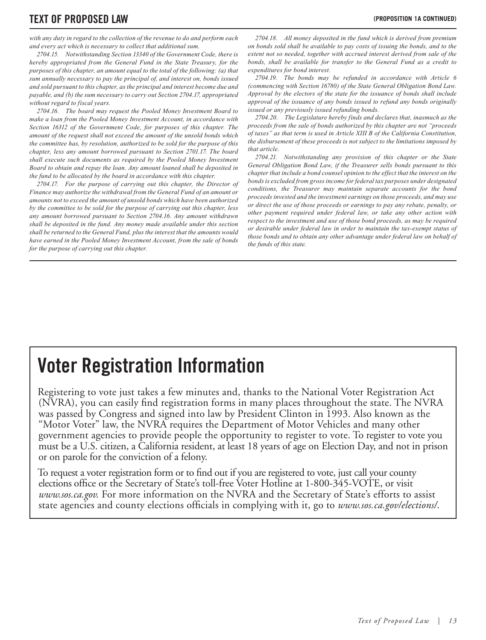### **TEXT OF PROPOSED LAW (PROPOSITION 1A CONTINUED)**

*with any duty in regard to the collection of the revenue to do and perform each and every act which is necessary to collect that additional sum.*

*2704.15. Notwithstanding Section 13340 of the Government Code, there is hereby appropriated from the General Fund in the State Treasury, for the purposes of this chapter, an amount equal to the total of the following: (a) that sum annually necessary to pay the principal of, and interest on, bonds issued and sold pursuant to this chapter, as the principal and interest become due and payable, and (b) the sum necessary to carry out Section 2704.17, appropriated without regard to fiscal years.*

*2704.16. The board may request the Pooled Money Investment Board to make a loan from the Pooled Money Investment Account, in accordance with Section 16312 of the Government Code, for purposes of this chapter. The amount of the request shall not exceed the amount of the unsold bonds which the committee has, by resolution, authorized to be sold for the purpose of this chapter, less any amount borrowed pursuant to Section 2701.17. The board shall execute such documents as required by the Pooled Money Investment Board to obtain and repay the loan. Any amount loaned shall be deposited in the fund to be allocated by the board in accordance with this chapter.*

*2704.17. For the purpose of carrying out this chapter, the Director of Finance may authorize the withdrawal from the General Fund of an amount or amounts not to exceed the amount of unsold bonds which have been authorized by the committee to be sold for the purpose of carrying out this chapter, less any amount borrowed pursuant to Section 2704.16. Any amount withdrawn shall be deposited in the fund. Any money made available under this section shall be returned to the General Fund, plus the interest that the amounts would have earned in the Pooled Money Investment Account, from the sale of bonds for the purpose of carrying out this chapter.*

*2704.18. All money deposited in the fund which is derived from premium on bonds sold shall be available to pay costs of issuing the bonds, and to the extent not so needed, together with accrued interest derived from sale of the bonds, shall be available for transfer to the General Fund as a credit to expenditures for bond interest.*

*2704.19. The bonds may be refunded in accordance with Article 6 (commencing with Section 16780) of the State General Obligation Bond Law. Approval by the electors of the state for the issuance of bonds shall include approval of the issuance of any bonds issued to refund any bonds originally issued or any previously issued refunding bonds.*

*2704.20. The Legislature hereby finds and declares that, inasmuch as the proceeds from the sale of bonds authorized by this chapter are not "proceeds of taxes" as that term is used in Article XIII B of the California Constitution, the disbursement of these proceeds is not subject to the limitations imposed by that article.*

*2704.21. Notwithstanding any provision of this chapter or the State General Obligation Bond Law, if the Treasurer sells bonds pursuant to this chapter that include a bond counsel opinion to the effect that the interest on the bonds is excluded from gross income for federal tax purposes under designated conditions, the Treasurer may maintain separate accounts for the bond proceeds invested and the investment earnings on those proceeds, and may use or direct the use of those proceeds or earnings to pay any rebate, penalty, or other payment required under federal law, or take any other action with respect to the investment and use of those bond proceeds, as may be required or desirable under federal law in order to maintain the tax-exempt status of those bonds and to obtain any other advantage under federal law on behalf of the funds of this state.*

### **Voter Registration Information**

Registering to vote just takes a few minutes and, thanks to the National Voter Registration Act (NVRA), you can easily find registration forms in many places throughout the state. The NVRA was passed by Congress and signed into law by President Clinton in 1993. Also known as the "Motor Voter" law, the NVRA requires the Department of Motor Vehicles and many other government agencies to provide people the opportunity to register to vote. To register to vote you must be a U.S. citizen, a California resident, at least 18 years of age on Election Day, and not in prison or on parole for the conviction of a felony.

To request a voter registration form or to find out if you are registered to vote, just call your county elections office or the Secretary of State's toll-free Voter Hotline at 1-800-345-VOTE, or visit *www.sos.ca.gov.* For more information on the NVRA and the Secretary of State's efforts to assist state agencies and county elections officials in complying with it, go to www.sos.ca.gov/elections/.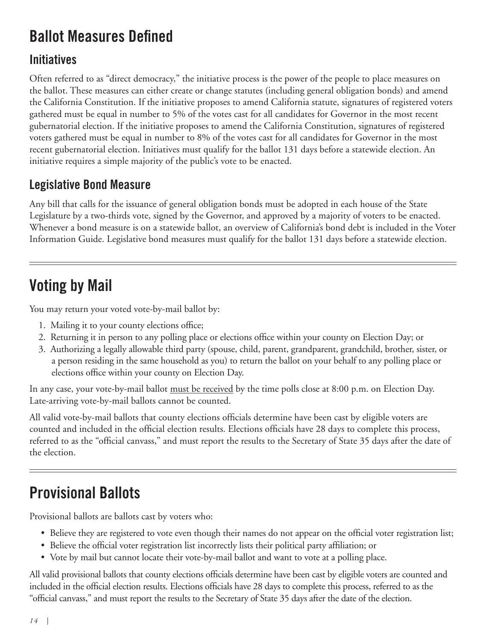### **Ballot Measures Defined**

### **Initiatives**

Often referred to as "direct democracy," the initiative process is the power of the people to place measures on the ballot. These measures can either create or change statutes (including general obligation bonds) and amend the California Constitution. If the initiative proposes to amend California statute, signatures of registered voters gathered must be equal in number to 5% of the votes cast for all candidates for Governor in the most recent gubernatorial election. If the initiative proposes to amend the California Constitution, signatures of registered voters gathered must be equal in number to 8% of the votes cast for all candidates for Governor in the most recent gubernatorial election. Initiatives must qualify for the ballot 131 days before a statewide election. An initiative requires a simple majority of the public's vote to be enacted.

### **Legislative Bond Measure**

Any bill that calls for the issuance of general obligation bonds must be adopted in each house of the State Legislature by a two-thirds vote, signed by the Governor, and approved by a majority of voters to be enacted. Whenever a bond measure is on a statewide ballot, an overview of California's bond debt is included in the Voter Information Guide. Legislative bond measures must qualify for the ballot 131 days before a statewide election.

### **Voting by Mail**

You may return your voted vote-by-mail ballot by:

- 1. Mailing it to your county elections office;
- 2. Returning it in person to any polling place or elections office within your county on Election Day; or
- 3. Authorizing a legally allowable third party (spouse, child, parent, grandparent, grandchild, brother, sister, or a person residing in the same household as you) to return the ballot on your behalf to any polling place or elections office within your county on Election Day.

In any case, your vote-by-mail ballot <u>must be received</u> by the time polls close at 8:00 p.m. on Election Day. Late-arriving vote-by-mail ballots cannot be counted.

All valid vote-by-mail ballots that county elections officials determine have been cast by eligible voters are counted and included in the official election results. Elections officials have 28 days to complete this process, referred to as the "official canvass," and must report the results to the Secretary of State 35 days after the date of the election.

### **Provisional Ballots**

Provisional ballots are ballots cast by voters who:

- Believe they are registered to vote even though their names do not appear on the official voter registration list;
- Believe the official voter registration list incorrectly lists their political party affiliation; or
- Vote by mail but cannot locate their vote-by-mail ballot and want to vote at a polling place.

All valid provisional ballots that county elections officials determine have been cast by eligible voters are counted and included in the official election results. Elections officials have 28 days to complete this process, referred to as the "official canvass," and must report the results to the Secretary of State 35 days after the date of the election.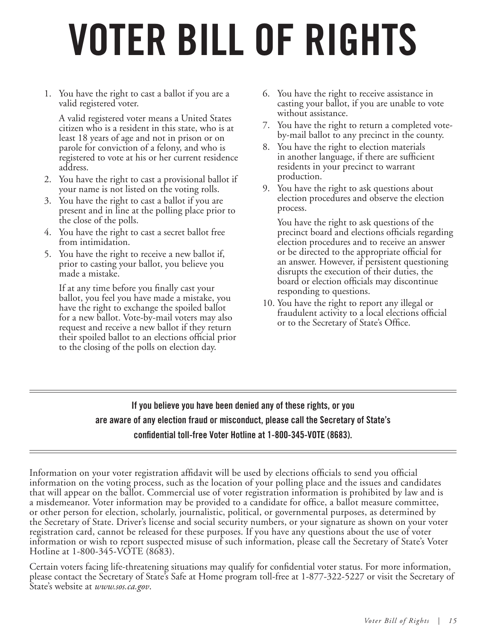## **VOTER BILL OF RIGHTS**

1. You have the right to cast a ballot if you are a valid registered voter.

A valid registered voter means a United States citizen who is a resident in this state, who is at least 18 years of age and not in prison or on parole for conviction of a felony, and who is registered to vote at his or her current residence address.

- 2. You have the right to cast a provisional ballot if your name is not listed on the voting rolls.
- 3. You have the right to cast a ballot if you are present and in line at the polling place prior to the close of the polls.
- 4. You have the right to cast a secret ballot free from intimidation.
- 5. You have the right to receive a new ballot if, prior to casting your ballot, you believe you made a mistake.

If at any time before you finally cast your ballot, you feel you have made a mistake, you have the right to exchange the spoiled ballot for a new ballot. Vote-by-mail voters may also request and receive a new ballot if they return their spoiled ballot to an elections official prior to the closing of the polls on election day.

- 6. You have the right to receive assistance in casting your ballot, if you are unable to vote without assistance.
- 7. You have the right to return a completed voteby-mail ballot to any precinct in the county.
- 8. You have the right to election materials in another language, if there are sufficient residents in your precinct to warrant production.
- 9. You have the right to ask questions about election procedures and observe the election process.

You have the right to ask questions of the precinct board and elections officials regarding election procedures and to receive an answer or be directed to the appropriate official for an answer. However, if persistent questioning disrupts the execution of their duties, the board or election officials may discontinue responding to questions.

10. You have the right to report any illegal or fraudulent activity to a local elections official or to the Secretary of State's Office.

### **If you believe you have been denied any of these rights, or you are aware of any election fraud or misconduct, please call the Secretary of State's confidential toll-free Voter Hotline at 1-800-345-VOTE (8683).**

Information on your voter registration affidavit will be used by elections officials to send you official information on the voting process, such as the location of your polling place and the issues and candidates that will appear on the ballot. Commercial use of voter registration information is prohibited by law and is a misdemeanor. Voter information may be provided to a candidate for office, a ballot measure committee, or other person for election, scholarly, journalistic, political, or governmental purposes, as determined by the Secretary of State. Driver's license and social security numbers, or your signature as shown on your voter registration card, cannot be released for these purposes. If you have any questions about the use of voter information or wish to report suspected misuse of such information, please call the Secretary of State's Voter Hotline at 1-800-345-VOTE (8683).

Certain voters facing life-threatening situations may qualify for confidential voter status. For more information, please contact the Secretary of State's Safe at Home program toll-free at 1-877-322-5227 or visit the Secretary of State's website at *www.sos.ca.gov*.